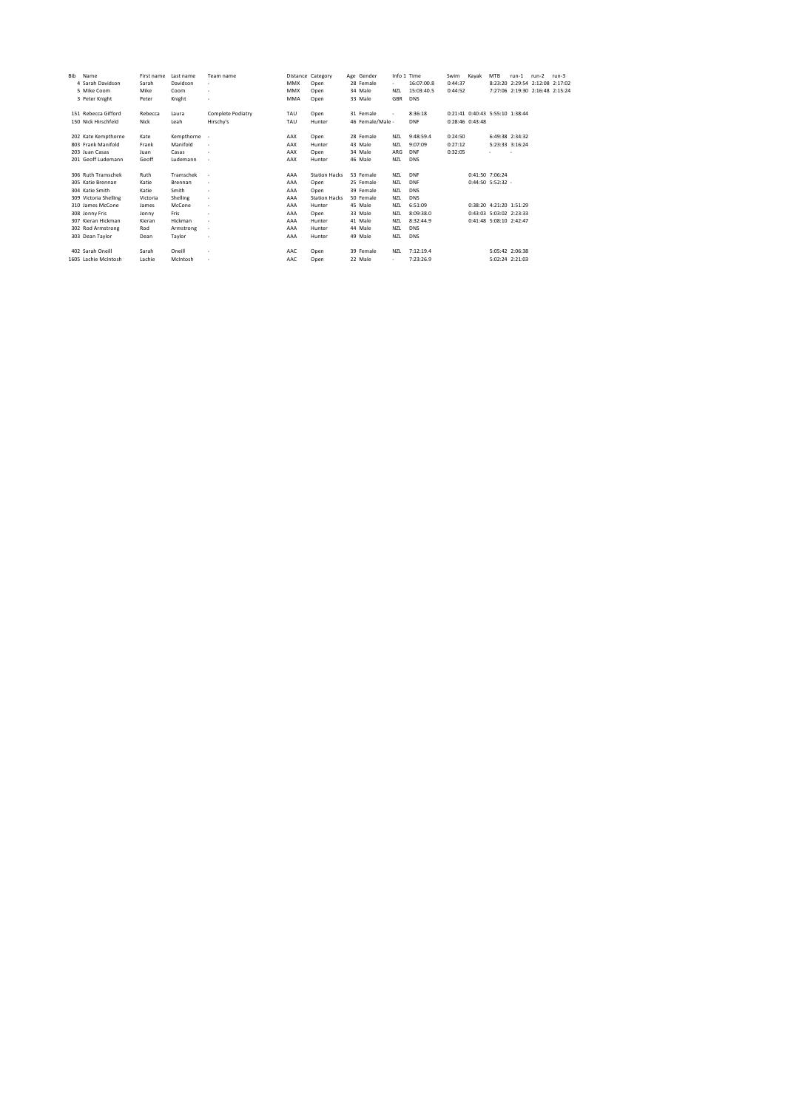| Bib | Name                  | First name | Last name  | Team name                |            | Distance Category    | Age Gender       | Info 1 Time |            | Swim                            | Kavak                   | <b>MTB</b>      | $run-1$                         | $run-2$ | $run-3$ |
|-----|-----------------------|------------|------------|--------------------------|------------|----------------------|------------------|-------------|------------|---------------------------------|-------------------------|-----------------|---------------------------------|---------|---------|
|     | 4 Sarah Davidson      | Sarah      | Davidson   | ٠                        | <b>MMX</b> | Open                 | 28 Female        | ٠           | 16:07:00.8 | 0:44:37                         |                         |                 | 8:23:20 2:29:54 2:12:08 2:17:02 |         |         |
|     | 5 Mike Coom           | Mike       | Coom       | ٠                        | <b>MMX</b> | Open                 | 34 Male          | <b>NZL</b>  | 15:03:40.5 | 0:44:52                         |                         |                 | 7:27:06 2:19:30 2:16:48 2:15:24 |         |         |
|     | 3 Peter Knight        | Peter      | Knight     | ٠                        | <b>MMA</b> | Open                 | 33 Male          | GBR         | <b>DNS</b> |                                 |                         |                 |                                 |         |         |
|     | 151 Rebecca Gifford   | Rebecca    | Laura      | Complete Podiatry        | TAU        | Open                 | 31 Female        | ×.          | 8:36:18    | 0:21:41 0:40:43 5:55:10 1:38:44 |                         |                 |                                 |         |         |
|     | 150 Nick Hirschfeld   | Nick       | Leah       | Hirschv's                | TAU        | Hunter               | 46 Female/Male - |             | <b>DNF</b> | 0:28:46 0:43:48                 |                         |                 |                                 |         |         |
|     | 202 Kate Kempthorne   | Kate       | Kempthorne |                          | AAX        | Open                 | 28 Female        | <b>NZL</b>  | 9:48:59.4  | 0:24:50                         |                         | 6:49:38 2:34:32 |                                 |         |         |
|     | 803 Frank Manifold    | Frank      | Manifold   | ٠                        | AAX        | Hunter               | 43 Male          | <b>NZL</b>  | 9:07:09    | 0:27:12                         |                         | 5:23:33 3:16:24 |                                 |         |         |
|     | 203 Juan Casas        | Juan       | Casas      | ٠                        | AAX        | Open                 | 34 Male          | ARG         | DNF        | 0:32:05                         |                         | e.              | $\overline{\phantom{a}}$        |         |         |
|     | 201 Geoff Ludemann    | Geoff      | Ludemann   | $\overline{\phantom{a}}$ | AAX        | Hunter               | 46 Male          | <b>NZL</b>  | <b>DNS</b> |                                 |                         |                 |                                 |         |         |
|     | 306 Ruth Tramschek    | Ruth       | Tramschek  | ٠                        | AAA        | <b>Station Hacks</b> | 53 Female        | <b>NZL</b>  | DNF        |                                 | 0:41:50 7:06:24         |                 |                                 |         |         |
|     | 305 Katie Brennan     | Katie      | Brennan    | ٠                        | AAA        | Open                 | 25 Female        | <b>NZL</b>  | DNF        |                                 | 0:44:50 5:52:32 -       |                 |                                 |         |         |
|     | 304 Katie Smith       | Katie      | Smith      | ٠                        | AAA        | Open                 | 39 Female        | <b>NZL</b>  | <b>DNS</b> |                                 |                         |                 |                                 |         |         |
|     | 309 Victoria Shelling | Victoria   | Shelling   | ٠                        | AAA        | <b>Station Hacks</b> | 50 Female        | <b>NZL</b>  | <b>DNS</b> |                                 |                         |                 |                                 |         |         |
|     | 310 James McCone      | James      | McCone     | ٠                        | AAA        | Hunter               | 45 Male          | <b>NZL</b>  | 6:51:09    |                                 | 0:38:20 4:21:20 1:51:29 |                 |                                 |         |         |
|     | 308 Jonny Fris        | Jonny      | Fris       | ٠                        | AAA        | Open                 | 33 Male          | <b>NZL</b>  | 8:09:38.0  |                                 | 0:43:03 5:03:02 2:23:33 |                 |                                 |         |         |
|     | 307 Kieran Hickman    | Kieran     | Hickman    | ٠                        | AAA        | Hunter               | 41 Male          | <b>NZL</b>  | 8:32:44.9  |                                 | 0:41:48 5:08:10 2:42:47 |                 |                                 |         |         |
|     | 302 Rod Armstrong     | Rod        | Armstrong  | ٠                        | AAA        | Hunter               | 44 Male          | <b>NZL</b>  | <b>DNS</b> |                                 |                         |                 |                                 |         |         |
|     | 303 Dean Taylor       | Dean       | Taylor     | ٠                        | AAA        | Hunter               | 49 Male          | <b>NZL</b>  | <b>DNS</b> |                                 |                         |                 |                                 |         |         |
|     | 402 Sarah Oneill      | Sarah      | Oneill     | ٠                        | AAC        | Open                 | 39 Female        | N71         | 7:12:19.4  |                                 |                         | 5:05:42 2:06:38 |                                 |         |         |
|     | 1605 Lachie McIntosh  | Lachie     | McIntosh   | ٠                        | AAC        | Open                 | 22 Male          | ٠           | 7:23:26.9  |                                 |                         | 5:02:24 2:21:03 |                                 |         |         |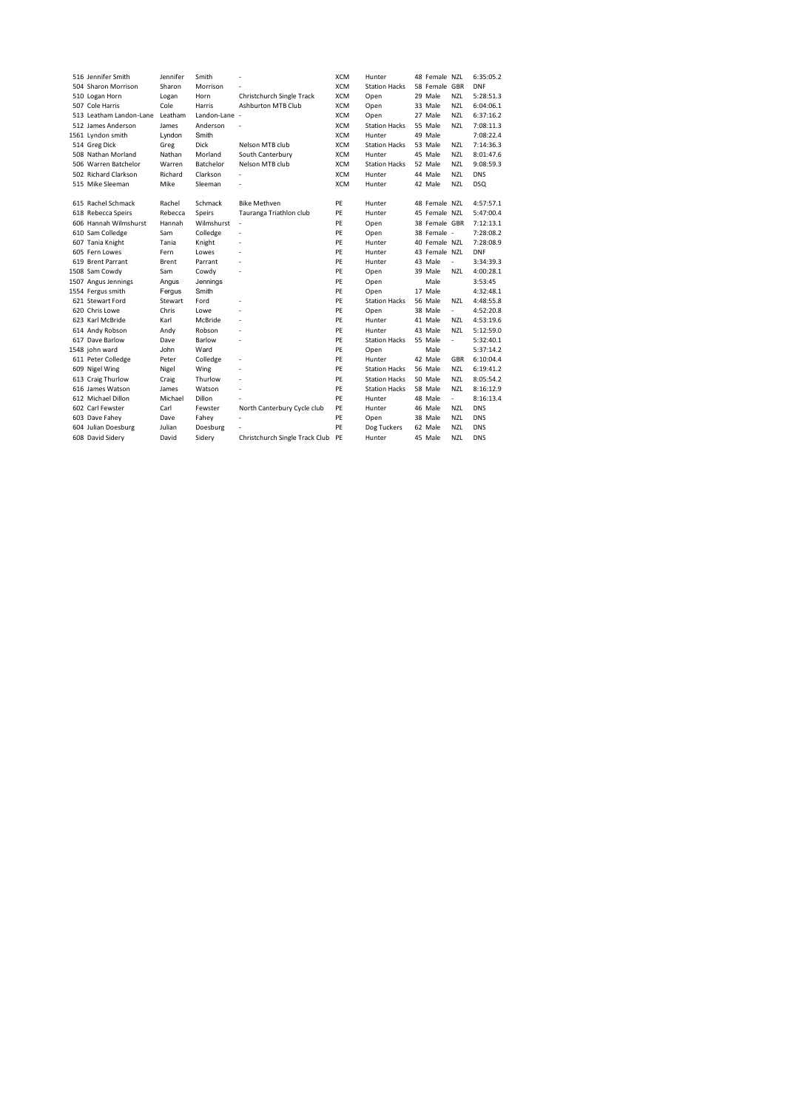| 516 Jennifer Smith      | Jennifer | Smith         |                                | <b>XCM</b> | Hunter               | 48 Female N7L |                          | 6:35:05.2  |
|-------------------------|----------|---------------|--------------------------------|------------|----------------------|---------------|--------------------------|------------|
| 504 Sharon Morrison     | Sharon   | Morrison      |                                | XCM        | <b>Station Hacks</b> | 58 Female GBR |                          | <b>DNF</b> |
| 510 Logan Horn          | Logan    | Horn          | Christchurch Single Track      | <b>XCM</b> | Open                 | 29 Male       | <b>NZL</b>               | 5:28:51.3  |
| 507 Cole Harris         | Cole     | Harris        | <b>Ashburton MTB Club</b>      | <b>XCM</b> | Open                 | 33 Male       | <b>NZL</b>               | 6:04:06.1  |
| 513 Leatham Landon-Lane | Leatham  | Landon-Lane - |                                | <b>XCM</b> | Open                 | 27 Male       | <b>NZL</b>               | 6:37:16.2  |
| 512 James Anderson      | James    | Anderson      |                                | <b>XCM</b> | <b>Station Hacks</b> | 55 Male       | <b>NZL</b>               | 7:08:11.3  |
| 1561 Lyndon smith       | Lyndon   | Smith         |                                | <b>XCM</b> | Hunter               | 49 Male       |                          | 7:08:22.4  |
| 514 Greg Dick           | Greg     | <b>Dick</b>   | Nelson MTB club                | <b>XCM</b> | <b>Station Hacks</b> | 53 Male       | <b>NZL</b>               | 7:14:36.3  |
| 508 Nathan Morland      | Nathan   | Morland       | South Canterbury               | <b>XCM</b> | Hunter               | 45 Male       | <b>NZL</b>               | 8:01:47.6  |
| 506 Warren Batchelor    | Warren   | Batchelor     | Nelson MTB club                | <b>XCM</b> | <b>Station Hacks</b> | 52 Male       | <b>NZL</b>               | 9:08:59.3  |
| 502 Richard Clarkson    | Richard  | Clarkson      | L.                             | <b>XCM</b> | Hunter               | 44 Male       | <b>NZL</b>               | <b>DNS</b> |
| 515 Mike Sleeman        | Mike     | Sleeman       |                                | <b>XCM</b> | Hunter               | 42 Male       | N <sub>7</sub>           | <b>DSQ</b> |
| 615 Rachel Schmack      | Rachel   | Schmack       | <b>Bike Methven</b>            | PE         | Hunter               | 48 Female NZL |                          | 4:57:57.1  |
| 618 Rebecca Speirs      | Rebecca  | Speirs        | Tauranga Triathlon club        | PE         | Hunter               | 45 Female NZL |                          | 5:47:00.4  |
| 606 Hannah Wilmshurst   | Hannah   | Wilmshurst    | ٠                              | PE         | Open                 | 38 Female GBR |                          | 7:12:13.1  |
| 610 Sam Colledge        | Sam      | Colledge      | ÷                              | PE         | Open                 | 38 Female -   |                          | 7:28:08.2  |
| 607 Tania Knight        | Tania    | Knight        | i.                             | PE         | Hunter               | 40 Female NZL |                          | 7:28:08.9  |
| 605 Fern Lowes          | Fern     | Lowes         | J.                             | PF         | Hunter               | 43 Female NZL |                          | <b>DNF</b> |
| 619 Brent Parrant       | Brent    | Parrant       | ÷.                             | PE         | Hunter               | 43 Male       | $\overline{\phantom{a}}$ | 3:34:39.3  |
| 1508 Sam Cowdy          | Sam      | Cowdy         | J.                             | PE         | Open                 | 39 Male       | <b>NZL</b>               | 4:00:28.1  |
| 1507 Angus Jennings     | Angus    | Jennings      |                                | PE         | Open                 | Male          |                          | 3:53:45    |
| 1554 Fergus smith       | Fergus   | Smith         |                                | PE         | Open                 | 17 Male       |                          | 4:32:48.1  |
| 621 Stewart Ford        | Stewart  | Ford          |                                | PF         | <b>Station Hacks</b> | 56 Male       | N <sub>7</sub>           | 4:48:55.8  |
| 620 Chris Lowe          | Chris    | Lowe          |                                | PE         | Open                 | 38 Male       | $\overline{\phantom{a}}$ | 4:52:20.8  |
| 623 Karl McBride        | Karl     | McBride       | ÷                              | PE         | Hunter               | 41 Male       | <b>NZL</b>               | 4:53:19.6  |
| 614 Andy Robson         | Andy     | Robson        | J.                             | PE         | Hunter               | 43 Male       | <b>NZL</b>               | 5:12:59.0  |
| 617 Dave Barlow         | Dave     | Barlow        |                                | PE         | <b>Station Hacks</b> | 55 Male       | $\overline{\phantom{a}}$ | 5:32:40.1  |
| 1548 john ward          | John     | Ward          |                                | PE         | Open                 | Male          |                          | 5:37:14.2  |
| 611 Peter Colledge      | Peter    | Colledge      | J.                             | PE         | Hunter               | 42 Male       | GBR                      | 6:10:04.4  |
| 609 Nigel Wing          | Nigel    | Wing          | J.                             | PE         | <b>Station Hacks</b> | 56 Male       | <b>NZL</b>               | 6:19:41.2  |
| 613 Craig Thurlow       | Craig    | Thurlow       | L.                             | PE         | <b>Station Hacks</b> | 50 Male       | <b>NZL</b>               | 8:05:54.2  |
| 616 James Watson        | James    | Watson        | ÷.                             | PE         | <b>Station Hacks</b> | 58 Male       | <b>NZL</b>               | 8:16:12.9  |
| 612 Michael Dillon      | Michael  | Dillon        |                                | PE         | Hunter               | 48 Male       | ÷.                       | 8:16:13.4  |
| 602 Carl Fewster        | Carl     | Fewster       | North Canterbury Cycle club    | PE         | Hunter               | 46 Male       | <b>NZL</b>               | <b>DNS</b> |
| 603 Dave Fahey          | Dave     | Fahey         |                                | PE         | Open                 | 38 Male       | <b>NZL</b>               | <b>DNS</b> |
| 604 Julian Doesburg     | Julian   | Doesburg      |                                | PE         | Dog Tuckers          | 62 Male       | <b>NZL</b>               | <b>DNS</b> |
| 608 David Sidery        | David    | Siderv        | Christchurch Single Track Club | PE         | Hunter               | 45 Male       | <b>NZL</b>               | <b>DNS</b> |
|                         |          |               |                                |            |                      |               |                          |            |